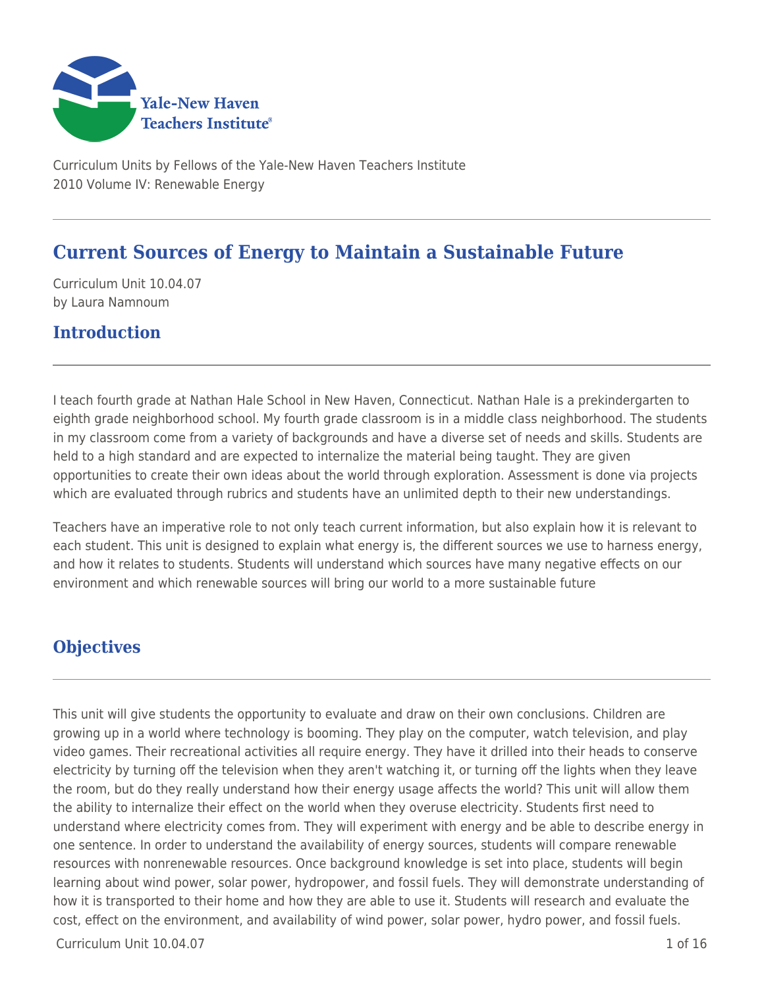

Curriculum Units by Fellows of the Yale-New Haven Teachers Institute 2010 Volume IV: Renewable Energy

# **Current Sources of Energy to Maintain a Sustainable Future**

Curriculum Unit 10.04.07 by Laura Namnoum

## **Introduction**

I teach fourth grade at Nathan Hale School in New Haven, Connecticut. Nathan Hale is a prekindergarten to eighth grade neighborhood school. My fourth grade classroom is in a middle class neighborhood. The students in my classroom come from a variety of backgrounds and have a diverse set of needs and skills. Students are held to a high standard and are expected to internalize the material being taught. They are given opportunities to create their own ideas about the world through exploration. Assessment is done via projects which are evaluated through rubrics and students have an unlimited depth to their new understandings.

Teachers have an imperative role to not only teach current information, but also explain how it is relevant to each student. This unit is designed to explain what energy is, the different sources we use to harness energy, and how it relates to students. Students will understand which sources have many negative effects on our environment and which renewable sources will bring our world to a more sustainable future

# **Objectives**

This unit will give students the opportunity to evaluate and draw on their own conclusions. Children are growing up in a world where technology is booming. They play on the computer, watch television, and play video games. Their recreational activities all require energy. They have it drilled into their heads to conserve electricity by turning off the television when they aren't watching it, or turning off the lights when they leave the room, but do they really understand how their energy usage affects the world? This unit will allow them the ability to internalize their effect on the world when they overuse electricity. Students first need to understand where electricity comes from. They will experiment with energy and be able to describe energy in one sentence. In order to understand the availability of energy sources, students will compare renewable resources with nonrenewable resources. Once background knowledge is set into place, students will begin learning about wind power, solar power, hydropower, and fossil fuels. They will demonstrate understanding of how it is transported to their home and how they are able to use it. Students will research and evaluate the cost, effect on the environment, and availability of wind power, solar power, hydro power, and fossil fuels.

 $Curir$ iulum Unit  $10.04.07$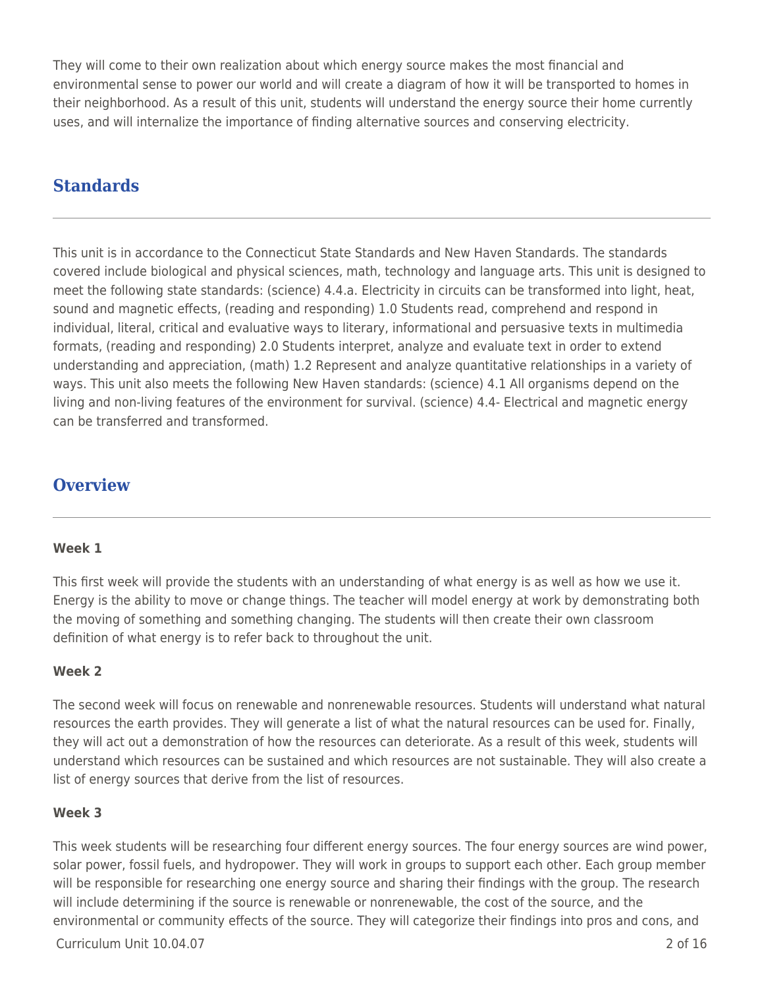They will come to their own realization about which energy source makes the most financial and environmental sense to power our world and will create a diagram of how it will be transported to homes in their neighborhood. As a result of this unit, students will understand the energy source their home currently uses, and will internalize the importance of finding alternative sources and conserving electricity.

# **Standards**

This unit is in accordance to the Connecticut State Standards and New Haven Standards. The standards covered include biological and physical sciences, math, technology and language arts. This unit is designed to meet the following state standards: (science) 4.4.a. Electricity in circuits can be transformed into light, heat, sound and magnetic effects, (reading and responding) 1.0 Students read, comprehend and respond in individual, literal, critical and evaluative ways to literary, informational and persuasive texts in multimedia formats, (reading and responding) 2.0 Students interpret, analyze and evaluate text in order to extend understanding and appreciation, (math) 1.2 Represent and analyze quantitative relationships in a variety of ways. This unit also meets the following New Haven standards: (science) 4.1 All organisms depend on the living and non-living features of the environment for survival. (science) 4.4- Electrical and magnetic energy can be transferred and transformed.

## **Overview**

### **Week 1**

This first week will provide the students with an understanding of what energy is as well as how we use it. Energy is the ability to move or change things. The teacher will model energy at work by demonstrating both the moving of something and something changing. The students will then create their own classroom definition of what energy is to refer back to throughout the unit.

## **Week 2**

The second week will focus on renewable and nonrenewable resources. Students will understand what natural resources the earth provides. They will generate a list of what the natural resources can be used for. Finally, they will act out a demonstration of how the resources can deteriorate. As a result of this week, students will understand which resources can be sustained and which resources are not sustainable. They will also create a list of energy sources that derive from the list of resources.

### **Week 3**

This week students will be researching four different energy sources. The four energy sources are wind power, solar power, fossil fuels, and hydropower. They will work in groups to support each other. Each group member will be responsible for researching one energy source and sharing their findings with the group. The research will include determining if the source is renewable or nonrenewable, the cost of the source, and the environmental or community effects of the source. They will categorize their findings into pros and cons, and

Curriculum Unit 10.04.07 2 of 16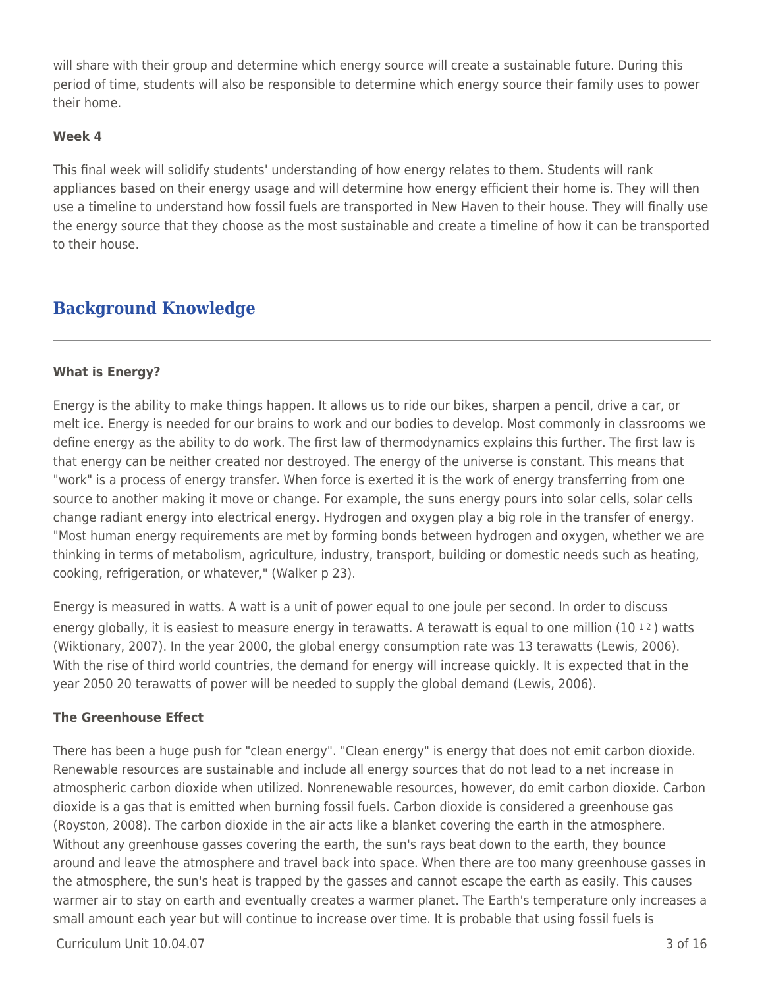will share with their group and determine which energy source will create a sustainable future. During this period of time, students will also be responsible to determine which energy source their family uses to power their home.

## **Week 4**

This final week will solidify students' understanding of how energy relates to them. Students will rank appliances based on their energy usage and will determine how energy efficient their home is. They will then use a timeline to understand how fossil fuels are transported in New Haven to their house. They will finally use the energy source that they choose as the most sustainable and create a timeline of how it can be transported to their house.

# **Background Knowledge**

## **What is Energy?**

Energy is the ability to make things happen. It allows us to ride our bikes, sharpen a pencil, drive a car, or melt ice. Energy is needed for our brains to work and our bodies to develop. Most commonly in classrooms we define energy as the ability to do work. The first law of thermodynamics explains this further. The first law is that energy can be neither created nor destroyed. The energy of the universe is constant. This means that "work" is a process of energy transfer. When force is exerted it is the work of energy transferring from one source to another making it move or change. For example, the suns energy pours into solar cells, solar cells change radiant energy into electrical energy. Hydrogen and oxygen play a big role in the transfer of energy. "Most human energy requirements are met by forming bonds between hydrogen and oxygen, whether we are thinking in terms of metabolism, agriculture, industry, transport, building or domestic needs such as heating, cooking, refrigeration, or whatever," (Walker p 23).

Energy is measured in watts. A watt is a unit of power equal to one joule per second. In order to discuss energy globally, it is easiest to measure energy in terawatts. A terawatt is equal to one million  $(10<sup>12</sup>)$  watts (Wiktionary, 2007). In the year 2000, the global energy consumption rate was 13 terawatts (Lewis, 2006). With the rise of third world countries, the demand for energy will increase quickly. It is expected that in the year 2050 20 terawatts of power will be needed to supply the global demand (Lewis, 2006).

### **The Greenhouse Effect**

There has been a huge push for "clean energy". "Clean energy" is energy that does not emit carbon dioxide. Renewable resources are sustainable and include all energy sources that do not lead to a net increase in atmospheric carbon dioxide when utilized. Nonrenewable resources, however, do emit carbon dioxide. Carbon dioxide is a gas that is emitted when burning fossil fuels. Carbon dioxide is considered a greenhouse gas (Royston, 2008). The carbon dioxide in the air acts like a blanket covering the earth in the atmosphere. Without any greenhouse gasses covering the earth, the sun's rays beat down to the earth, they bounce around and leave the atmosphere and travel back into space. When there are too many greenhouse gasses in the atmosphere, the sun's heat is trapped by the gasses and cannot escape the earth as easily. This causes warmer air to stay on earth and eventually creates a warmer planet. The Earth's temperature only increases a small amount each year but will continue to increase over time. It is probable that using fossil fuels is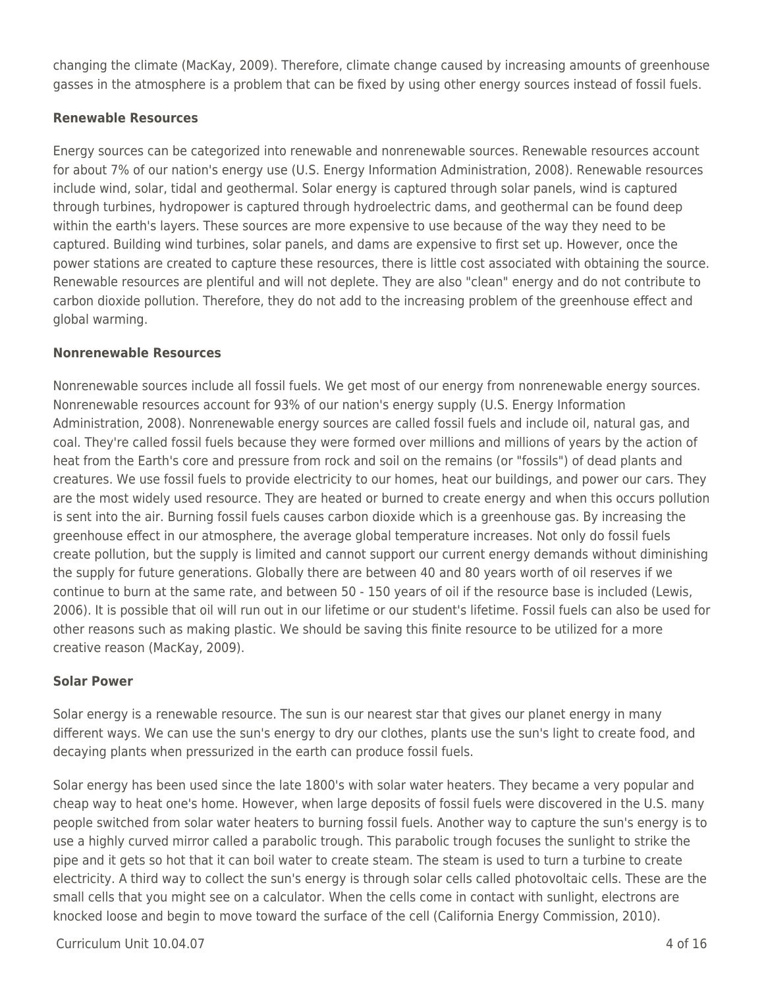changing the climate (MacKay, 2009). Therefore, climate change caused by increasing amounts of greenhouse gasses in the atmosphere is a problem that can be fixed by using other energy sources instead of fossil fuels.

## **Renewable Resources**

Energy sources can be categorized into renewable and nonrenewable sources. Renewable resources account for about 7% of our nation's energy use (U.S. Energy Information Administration, 2008). Renewable resources include wind, solar, tidal and geothermal. Solar energy is captured through solar panels, wind is captured through turbines, hydropower is captured through hydroelectric dams, and geothermal can be found deep within the earth's layers. These sources are more expensive to use because of the way they need to be captured. Building wind turbines, solar panels, and dams are expensive to first set up. However, once the power stations are created to capture these resources, there is little cost associated with obtaining the source. Renewable resources are plentiful and will not deplete. They are also "clean" energy and do not contribute to carbon dioxide pollution. Therefore, they do not add to the increasing problem of the greenhouse effect and global warming.

## **Nonrenewable Resources**

Nonrenewable sources include all fossil fuels. We get most of our energy from nonrenewable energy sources. Nonrenewable resources account for 93% of our nation's energy supply (U.S. Energy Information Administration, 2008). Nonrenewable energy sources are called fossil fuels and include oil, natural gas, and coal. They're called fossil fuels because they were formed over millions and millions of years by the action of heat from the Earth's core and pressure from rock and soil on the remains (or "fossils") of dead plants and creatures. We use fossil fuels to provide electricity to our homes, heat our buildings, and power our cars. They are the most widely used resource. They are heated or burned to create energy and when this occurs pollution is sent into the air. Burning fossil fuels causes carbon dioxide which is a greenhouse gas. By increasing the greenhouse effect in our atmosphere, the average global temperature increases. Not only do fossil fuels create pollution, but the supply is limited and cannot support our current energy demands without diminishing the supply for future generations. Globally there are between 40 and 80 years worth of oil reserves if we continue to burn at the same rate, and between 50 - 150 years of oil if the resource base is included (Lewis, 2006). It is possible that oil will run out in our lifetime or our student's lifetime. Fossil fuels can also be used for other reasons such as making plastic. We should be saving this finite resource to be utilized for a more creative reason (MacKay, 2009).

## **Solar Power**

Solar energy is a renewable resource. The sun is our nearest star that gives our planet energy in many different ways. We can use the sun's energy to dry our clothes, plants use the sun's light to create food, and decaying plants when pressurized in the earth can produce fossil fuels.

Solar energy has been used since the late 1800's with solar water heaters. They became a very popular and cheap way to heat one's home. However, when large deposits of fossil fuels were discovered in the U.S. many people switched from solar water heaters to burning fossil fuels. Another way to capture the sun's energy is to use a highly curved mirror called a parabolic trough. This parabolic trough focuses the sunlight to strike the pipe and it gets so hot that it can boil water to create steam. The steam is used to turn a turbine to create electricity. A third way to collect the sun's energy is through solar cells called photovoltaic cells. These are the small cells that you might see on a calculator. When the cells come in contact with sunlight, electrons are knocked loose and begin to move toward the surface of the cell (California Energy Commission, 2010).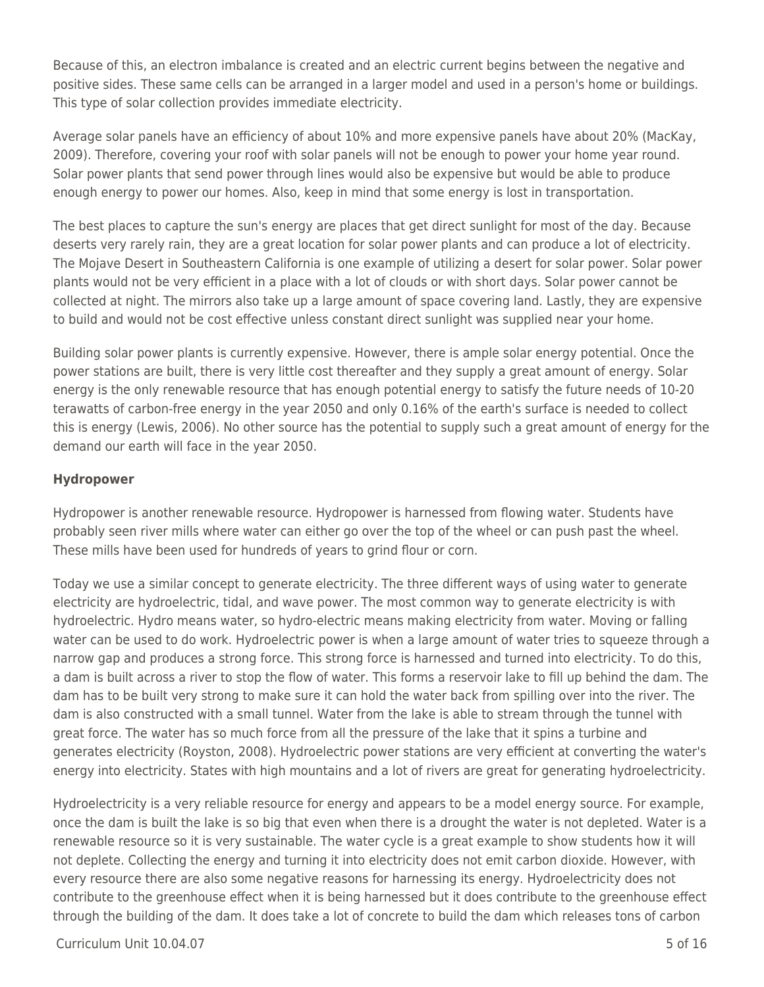Because of this, an electron imbalance is created and an electric current begins between the negative and positive sides. These same cells can be arranged in a larger model and used in a person's home or buildings. This type of solar collection provides immediate electricity.

Average solar panels have an efficiency of about 10% and more expensive panels have about 20% (MacKay, 2009). Therefore, covering your roof with solar panels will not be enough to power your home year round. Solar power plants that send power through lines would also be expensive but would be able to produce enough energy to power our homes. Also, keep in mind that some energy is lost in transportation.

The best places to capture the sun's energy are places that get direct sunlight for most of the day. Because deserts very rarely rain, they are a great location for solar power plants and can produce a lot of electricity. The Mojave Desert in Southeastern California is one example of utilizing a desert for solar power. Solar power plants would not be very efficient in a place with a lot of clouds or with short days. Solar power cannot be collected at night. The mirrors also take up a large amount of space covering land. Lastly, they are expensive to build and would not be cost effective unless constant direct sunlight was supplied near your home.

Building solar power plants is currently expensive. However, there is ample solar energy potential. Once the power stations are built, there is very little cost thereafter and they supply a great amount of energy. Solar energy is the only renewable resource that has enough potential energy to satisfy the future needs of 10-20 terawatts of carbon-free energy in the year 2050 and only 0.16% of the earth's surface is needed to collect this is energy (Lewis, 2006). No other source has the potential to supply such a great amount of energy for the demand our earth will face in the year 2050.

## **Hydropower**

Hydropower is another renewable resource. Hydropower is harnessed from flowing water. Students have probably seen river mills where water can either go over the top of the wheel or can push past the wheel. These mills have been used for hundreds of years to grind flour or corn.

Today we use a similar concept to generate electricity. The three different ways of using water to generate electricity are hydroelectric, tidal, and wave power. The most common way to generate electricity is with hydroelectric. Hydro means water, so hydro-electric means making electricity from water. Moving or falling water can be used to do work. Hydroelectric power is when a large amount of water tries to squeeze through a narrow gap and produces a strong force. This strong force is harnessed and turned into electricity. To do this, a dam is built across a river to stop the flow of water. This forms a reservoir lake to fill up behind the dam. The dam has to be built very strong to make sure it can hold the water back from spilling over into the river. The dam is also constructed with a small tunnel. Water from the lake is able to stream through the tunnel with great force. The water has so much force from all the pressure of the lake that it spins a turbine and generates electricity (Royston, 2008). Hydroelectric power stations are very efficient at converting the water's energy into electricity. States with high mountains and a lot of rivers are great for generating hydroelectricity.

Hydroelectricity is a very reliable resource for energy and appears to be a model energy source. For example, once the dam is built the lake is so big that even when there is a drought the water is not depleted. Water is a renewable resource so it is very sustainable. The water cycle is a great example to show students how it will not deplete. Collecting the energy and turning it into electricity does not emit carbon dioxide. However, with every resource there are also some negative reasons for harnessing its energy. Hydroelectricity does not contribute to the greenhouse effect when it is being harnessed but it does contribute to the greenhouse effect through the building of the dam. It does take a lot of concrete to build the dam which releases tons of carbon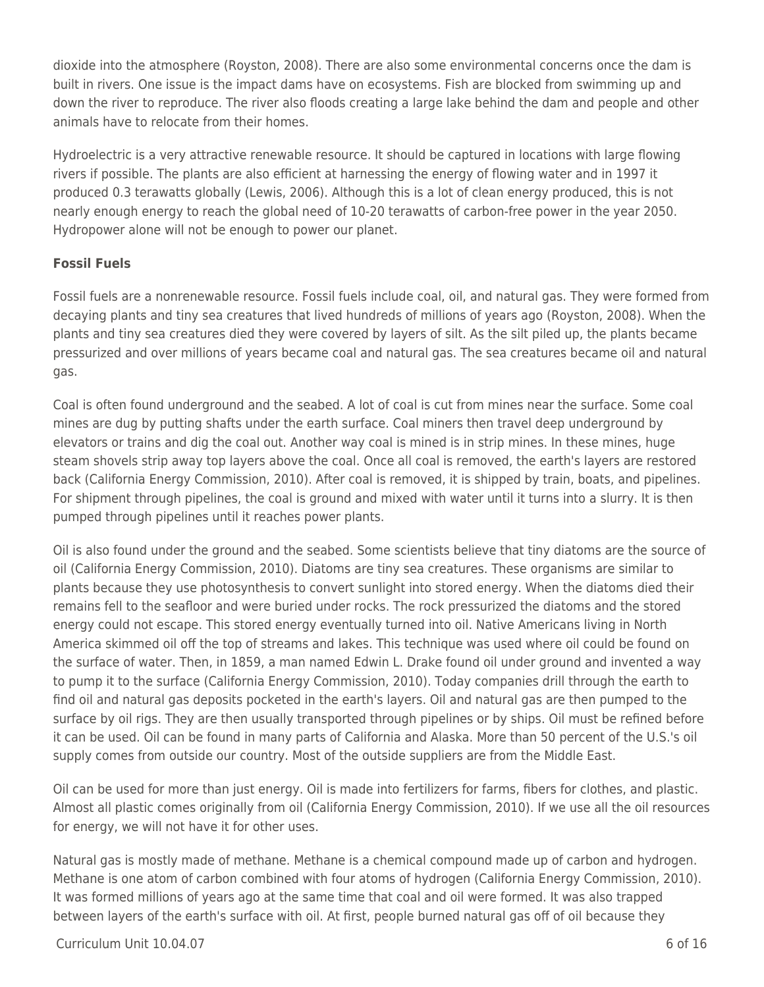dioxide into the atmosphere (Royston, 2008). There are also some environmental concerns once the dam is built in rivers. One issue is the impact dams have on ecosystems. Fish are blocked from swimming up and down the river to reproduce. The river also floods creating a large lake behind the dam and people and other animals have to relocate from their homes.

Hydroelectric is a very attractive renewable resource. It should be captured in locations with large flowing rivers if possible. The plants are also efficient at harnessing the energy of flowing water and in 1997 it produced 0.3 terawatts globally (Lewis, 2006). Although this is a lot of clean energy produced, this is not nearly enough energy to reach the global need of 10-20 terawatts of carbon-free power in the year 2050. Hydropower alone will not be enough to power our planet.

## **Fossil Fuels**

Fossil fuels are a nonrenewable resource. Fossil fuels include coal, oil, and natural gas. They were formed from decaying plants and tiny sea creatures that lived hundreds of millions of years ago (Royston, 2008). When the plants and tiny sea creatures died they were covered by layers of silt. As the silt piled up, the plants became pressurized and over millions of years became coal and natural gas. The sea creatures became oil and natural gas.

Coal is often found underground and the seabed. A lot of coal is cut from mines near the surface. Some coal mines are dug by putting shafts under the earth surface. Coal miners then travel deep underground by elevators or trains and dig the coal out. Another way coal is mined is in strip mines. In these mines, huge steam shovels strip away top layers above the coal. Once all coal is removed, the earth's layers are restored back (California Energy Commission, 2010). After coal is removed, it is shipped by train, boats, and pipelines. For shipment through pipelines, the coal is ground and mixed with water until it turns into a slurry. It is then pumped through pipelines until it reaches power plants.

Oil is also found under the ground and the seabed. Some scientists believe that tiny diatoms are the source of oil (California Energy Commission, 2010). Diatoms are tiny sea creatures. These organisms are similar to plants because they use photosynthesis to convert sunlight into stored energy. When the diatoms died their remains fell to the seafloor and were buried under rocks. The rock pressurized the diatoms and the stored energy could not escape. This stored energy eventually turned into oil. Native Americans living in North America skimmed oil off the top of streams and lakes. This technique was used where oil could be found on the surface of water. Then, in 1859, a man named Edwin L. Drake found oil under ground and invented a way to pump it to the surface (California Energy Commission, 2010). Today companies drill through the earth to find oil and natural gas deposits pocketed in the earth's layers. Oil and natural gas are then pumped to the surface by oil rigs. They are then usually transported through pipelines or by ships. Oil must be refined before it can be used. Oil can be found in many parts of California and Alaska. More than 50 percent of the U.S.'s oil supply comes from outside our country. Most of the outside suppliers are from the Middle East.

Oil can be used for more than just energy. Oil is made into fertilizers for farms, fibers for clothes, and plastic. Almost all plastic comes originally from oil (California Energy Commission, 2010). If we use all the oil resources for energy, we will not have it for other uses.

Natural gas is mostly made of methane. Methane is a chemical compound made up of carbon and hydrogen. Methane is one atom of carbon combined with four atoms of hydrogen (California Energy Commission, 2010). It was formed millions of years ago at the same time that coal and oil were formed. It was also trapped between layers of the earth's surface with oil. At first, people burned natural gas off of oil because they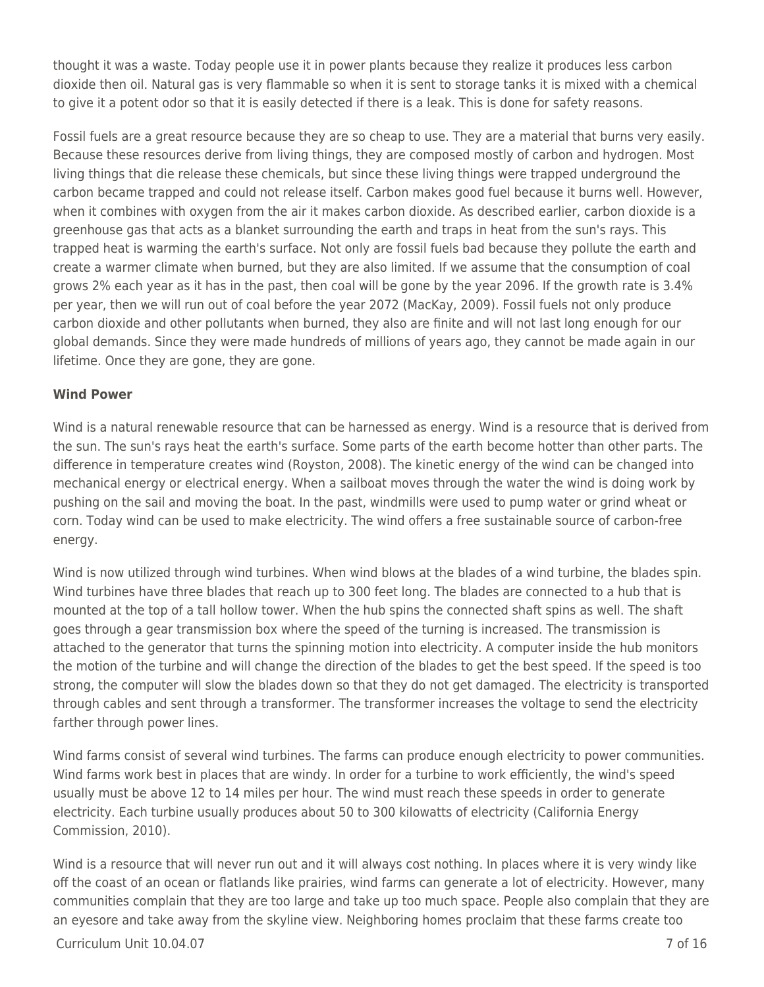thought it was a waste. Today people use it in power plants because they realize it produces less carbon dioxide then oil. Natural gas is very flammable so when it is sent to storage tanks it is mixed with a chemical to give it a potent odor so that it is easily detected if there is a leak. This is done for safety reasons.

Fossil fuels are a great resource because they are so cheap to use. They are a material that burns very easily. Because these resources derive from living things, they are composed mostly of carbon and hydrogen. Most living things that die release these chemicals, but since these living things were trapped underground the carbon became trapped and could not release itself. Carbon makes good fuel because it burns well. However, when it combines with oxygen from the air it makes carbon dioxide. As described earlier, carbon dioxide is a greenhouse gas that acts as a blanket surrounding the earth and traps in heat from the sun's rays. This trapped heat is warming the earth's surface. Not only are fossil fuels bad because they pollute the earth and create a warmer climate when burned, but they are also limited. If we assume that the consumption of coal grows 2% each year as it has in the past, then coal will be gone by the year 2096. If the growth rate is 3.4% per year, then we will run out of coal before the year 2072 (MacKay, 2009). Fossil fuels not only produce carbon dioxide and other pollutants when burned, they also are finite and will not last long enough for our global demands. Since they were made hundreds of millions of years ago, they cannot be made again in our lifetime. Once they are gone, they are gone.

## **Wind Power**

Wind is a natural renewable resource that can be harnessed as energy. Wind is a resource that is derived from the sun. The sun's rays heat the earth's surface. Some parts of the earth become hotter than other parts. The difference in temperature creates wind (Royston, 2008). The kinetic energy of the wind can be changed into mechanical energy or electrical energy. When a sailboat moves through the water the wind is doing work by pushing on the sail and moving the boat. In the past, windmills were used to pump water or grind wheat or corn. Today wind can be used to make electricity. The wind offers a free sustainable source of carbon-free energy.

Wind is now utilized through wind turbines. When wind blows at the blades of a wind turbine, the blades spin. Wind turbines have three blades that reach up to 300 feet long. The blades are connected to a hub that is mounted at the top of a tall hollow tower. When the hub spins the connected shaft spins as well. The shaft goes through a gear transmission box where the speed of the turning is increased. The transmission is attached to the generator that turns the spinning motion into electricity. A computer inside the hub monitors the motion of the turbine and will change the direction of the blades to get the best speed. If the speed is too strong, the computer will slow the blades down so that they do not get damaged. The electricity is transported through cables and sent through a transformer. The transformer increases the voltage to send the electricity farther through power lines.

Wind farms consist of several wind turbines. The farms can produce enough electricity to power communities. Wind farms work best in places that are windy. In order for a turbine to work efficiently, the wind's speed usually must be above 12 to 14 miles per hour. The wind must reach these speeds in order to generate electricity. Each turbine usually produces about 50 to 300 kilowatts of electricity (California Energy Commission, 2010).

Wind is a resource that will never run out and it will always cost nothing. In places where it is very windy like off the coast of an ocean or flatlands like prairies, wind farms can generate a lot of electricity. However, many communities complain that they are too large and take up too much space. People also complain that they are an eyesore and take away from the skyline view. Neighboring homes proclaim that these farms create too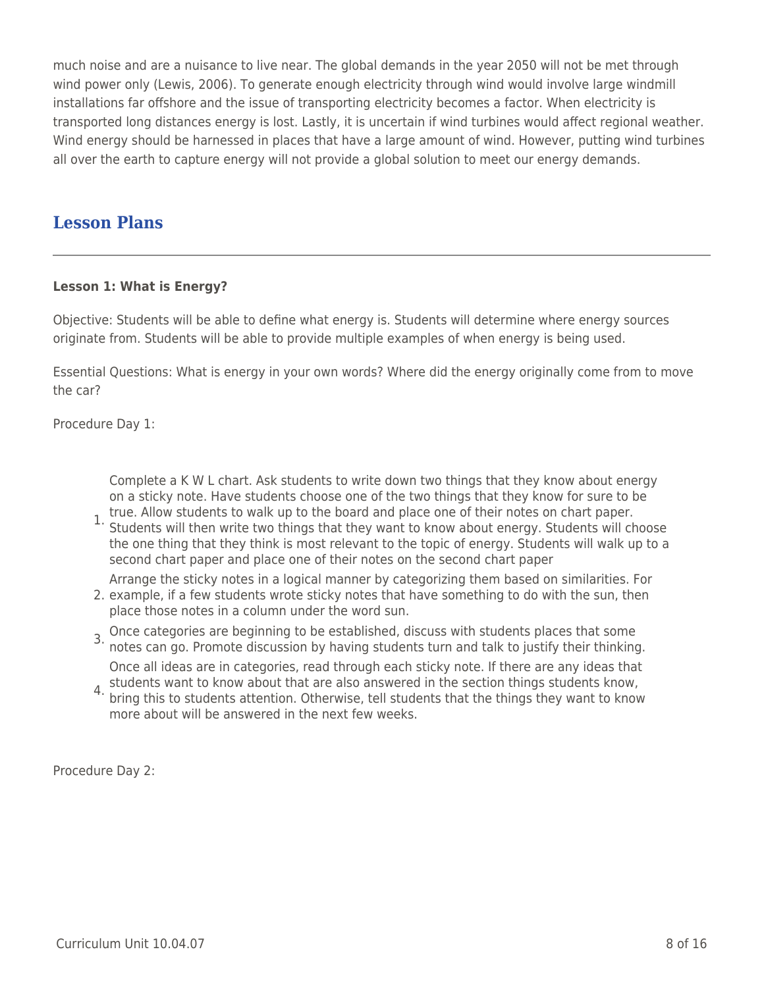much noise and are a nuisance to live near. The global demands in the year 2050 will not be met through wind power only (Lewis, 2006). To generate enough electricity through wind would involve large windmill installations far offshore and the issue of transporting electricity becomes a factor. When electricity is transported long distances energy is lost. Lastly, it is uncertain if wind turbines would affect regional weather. Wind energy should be harnessed in places that have a large amount of wind. However, putting wind turbines all over the earth to capture energy will not provide a global solution to meet our energy demands.

## **Lesson Plans**

## **Lesson 1: What is Energy?**

Objective: Students will be able to define what energy is. Students will determine where energy sources originate from. Students will be able to provide multiple examples of when energy is being used.

Essential Questions: What is energy in your own words? Where did the energy originally come from to move the car?

Procedure Day 1:

Complete a K W L chart. Ask students to write down two things that they know about energy on a sticky note. Have students choose one of the two things that they know for sure to be

true. Allow students to walk up to the board and place one of their notes on chart paper.<br>1. Students will then write two things that they want to know about energy. Students will all Students will then write two things that they want to know about energy. Students will choose the one thing that they think is most relevant to the topic of energy. Students will walk up to a second chart paper and place one of their notes on the second chart paper

Arrange the sticky notes in a logical manner by categorizing them based on similarities. For

- 2. example, if a few students wrote sticky notes that have something to do with the sun, then place those notes in a column under the word sun.
- 3. Once categories are beginning to be established, discuss with students places that some notes can go. Promote discussion by having students turn and talk to justify their thinking.
	- Once all ideas are in categories, read through each sticky note. If there are any ideas that
- 4. students want to know about that are also answered in the section things students know,<br>4. bring this to students attention. Otherwise, tell students that the things they want to know bring this to students attention. Otherwise, tell students that the things they want to know more about will be answered in the next few weeks.

Procedure Day 2: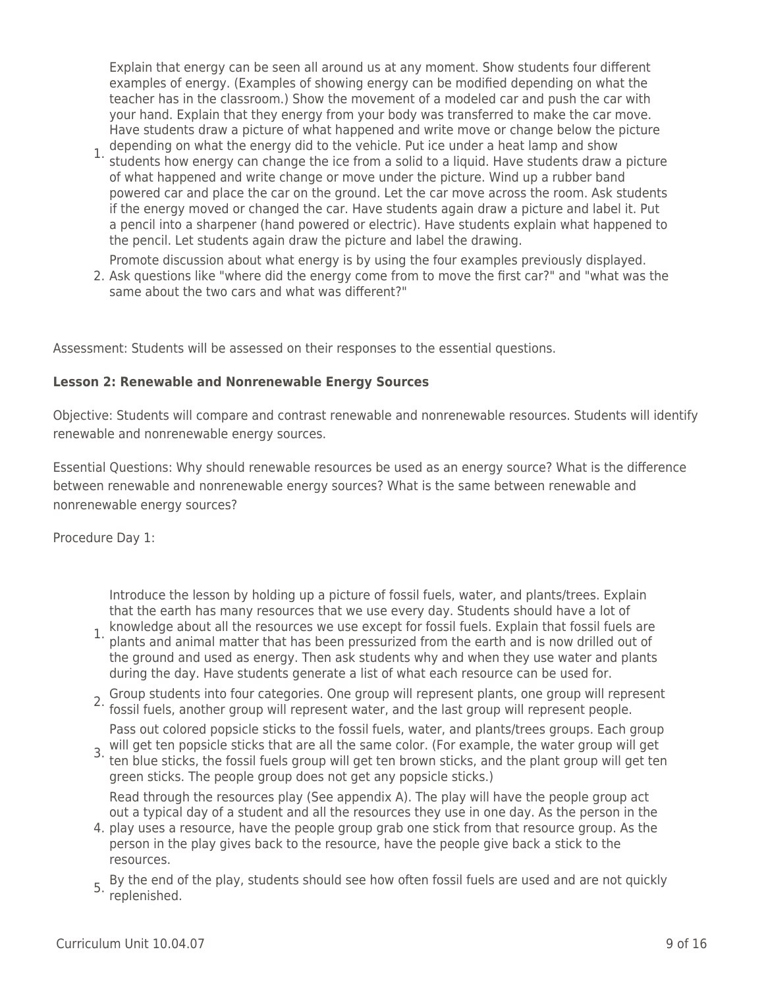Explain that energy can be seen all around us at any moment. Show students four different examples of energy. (Examples of showing energy can be modified depending on what the teacher has in the classroom.) Show the movement of a modeled car and push the car with your hand. Explain that they energy from your body was transferred to make the car move. Have students draw a picture of what happened and write move or change below the picture depending on what the energy did to the vehicle. Put ice under a heat lamp and show

1. Students how energy can change the ice from a solid to a liquid. Have students draw a picture of what happened and write change or move under the picture. Wind up a rubber band powered car and place the car on the ground. Let the car move across the room. Ask students if the energy moved or changed the car. Have students again draw a picture and label it. Put a pencil into a sharpener (hand powered or electric). Have students explain what happened to the pencil. Let students again draw the picture and label the drawing.

Promote discussion about what energy is by using the four examples previously displayed.

2. Ask questions like "where did the energy come from to move the first car?" and "what was the same about the two cars and what was different?"

Assessment: Students will be assessed on their responses to the essential questions.

## **Lesson 2: Renewable and Nonrenewable Energy Sources**

Objective: Students will compare and contrast renewable and nonrenewable resources. Students will identify renewable and nonrenewable energy sources.

Essential Questions: Why should renewable resources be used as an energy source? What is the difference between renewable and nonrenewable energy sources? What is the same between renewable and nonrenewable energy sources?

Procedure Day 1:

Introduce the lesson by holding up a picture of fossil fuels, water, and plants/trees. Explain that the earth has many resources that we use every day. Students should have a lot of

- 1. knowledge about all the resources we use except for fossil fuels. Explain that fossil fuels are<br>1. plants and animal matter that has been pressurined from the earth and is now drilled out of plants and animal matter that has been pressurized from the earth and is now drilled out of the ground and used as energy. Then ask students why and when they use water and plants during the day. Have students generate a list of what each resource can be used for.
- 2. Group students into four categories. One group will represent plants, one group will represent<br>2. fossil fuels, another group will represent water, and the last group will represent people.

Pass out colored popsicle sticks to the fossil fuels, water, and plants/trees groups. Each group

3. will get ten popsicle sticks that are all the same color. (For example, the water group will get to 3. ton blue sticks, the foscil fuels group will get to ten blue sticks, the fossil fuels group will get ten brown sticks, and the plant group will get ten green sticks. The people group does not get any popsicle sticks.)

Read through the resources play (See appendix A). The play will have the people group act out a typical day of a student and all the resources they use in one day. As the person in the

- 4. play uses a resource, have the people group grab one stick from that resource group. As the person in the play gives back to the resource, have the people give back a stick to the resources.
- 5. By the end of the play, students should see how often fossil fuels are used and are not quickly replenished.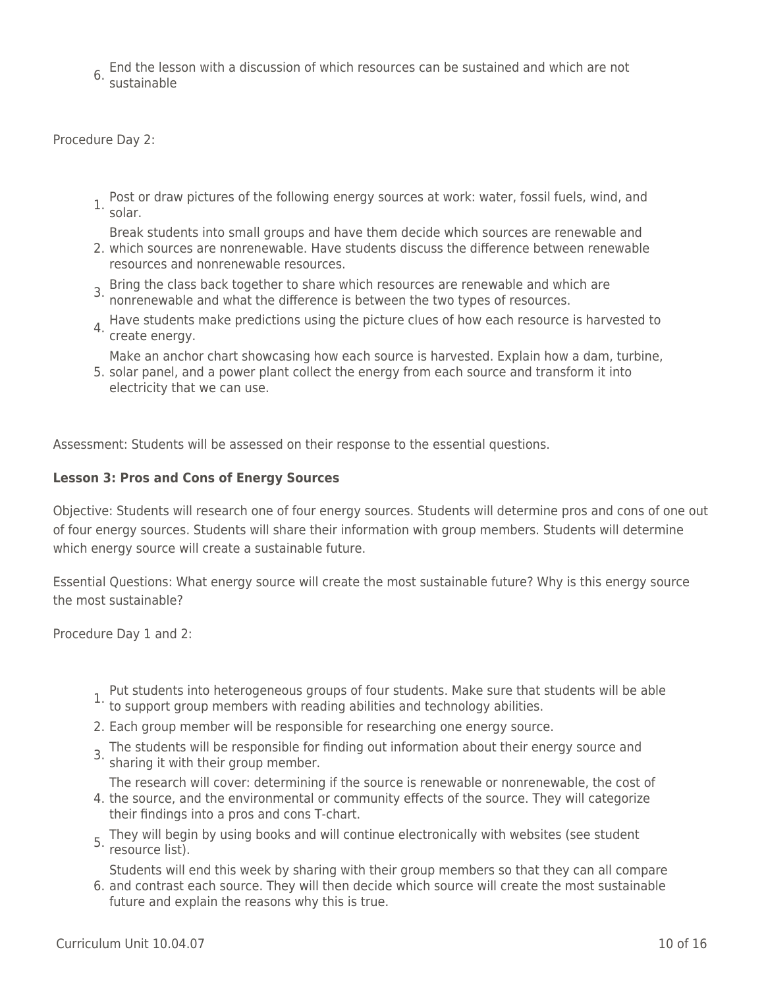6. End the lesson with a discussion of which resources can be sustained and which are not sustainable

Procedure Day 2:

- 1. Post or draw pictures of the following energy sources at work: water, fossil fuels, wind, and solar.
	- Break students into small groups and have them decide which sources are renewable and
- 2. which sources are nonrenewable. Have students discuss the difference between renewable resources and nonrenewable resources.
- 3. Bring the class back together to share which resources are renewable and which are<br><sup>3.</sup> nonrenewable and what the difference is between the two types of resources.
- 4. Have students make predictions using the picture clues of how each resource is harvested to create energy.

Make an anchor chart showcasing how each source is harvested. Explain how a dam, turbine,

5. solar panel, and a power plant collect the energy from each source and transform it into electricity that we can use.

Assessment: Students will be assessed on their response to the essential questions.

#### **Lesson 3: Pros and Cons of Energy Sources**

Objective: Students will research one of four energy sources. Students will determine pros and cons of one out of four energy sources. Students will share their information with group members. Students will determine which energy source will create a sustainable future.

Essential Questions: What energy source will create the most sustainable future? Why is this energy source the most sustainable?

Procedure Day 1 and 2:

- 1. Put students into heterogeneous groups of four students. Make sure that students will be able to support group members with reading abilities and technology abilities.
- 
- 2. Each group member will be responsible for researching one energy source.
- 3. The students will be responsible for finding out information about their energy source and sharing it with their group member.

The research will cover: determining if the source is renewable or nonrenewable, the cost of

- 4. the source, and the environmental or community effects of the source. They will categorize their findings into a pros and cons T-chart.
- 5. They will begin by using books and will continue electronically with websites (see student resource list).

6. and contrast each source. They will then decide which source will create the most sustainable Students will end this week by sharing with their group members so that they can all compare future and explain the reasons why this is true.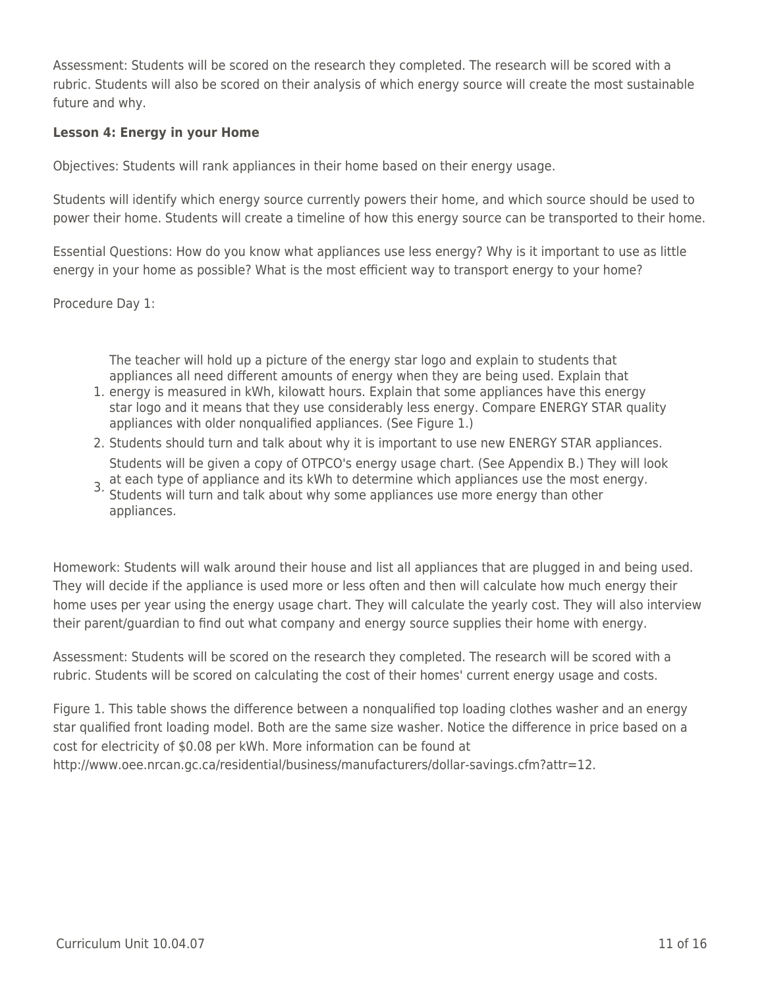Assessment: Students will be scored on the research they completed. The research will be scored with a rubric. Students will also be scored on their analysis of which energy source will create the most sustainable future and why.

## **Lesson 4: Energy in your Home**

Objectives: Students will rank appliances in their home based on their energy usage.

Students will identify which energy source currently powers their home, and which source should be used to power their home. Students will create a timeline of how this energy source can be transported to their home.

Essential Questions: How do you know what appliances use less energy? Why is it important to use as little energy in your home as possible? What is the most efficient way to transport energy to your home?

Procedure Day 1:

The teacher will hold up a picture of the energy star logo and explain to students that appliances all need different amounts of energy when they are being used. Explain that

- 1. energy is measured in kWh, kilowatt hours. Explain that some appliances have this energy star logo and it means that they use considerably less energy. Compare ENERGY STAR quality appliances with older nonqualified appliances. (See Figure 1.)
- 2. Students should turn and talk about why it is important to use new ENERGY STAR appliances. Students will be given a copy of OTPCO's energy usage chart. (See Appendix B.) They will look
- 3. at each type of appliance and its kWh to determine which appliances use the most energy.<br>3. Students will turn and talk about why some appliances use more energy than other. Students will turn and talk about why some appliances use more energy than other appliances.

Homework: Students will walk around their house and list all appliances that are plugged in and being used. They will decide if the appliance is used more or less often and then will calculate how much energy their home uses per year using the energy usage chart. They will calculate the yearly cost. They will also interview their parent/guardian to find out what company and energy source supplies their home with energy.

Assessment: Students will be scored on the research they completed. The research will be scored with a rubric. Students will be scored on calculating the cost of their homes' current energy usage and costs.

Figure 1. This table shows the difference between a nonqualified top loading clothes washer and an energy star qualified front loading model. Both are the same size washer. Notice the difference in price based on a cost for electricity of \$0.08 per kWh. More information can be found at http://www.oee.nrcan.gc.ca/residential/business/manufacturers/dollar-savings.cfm?attr=12.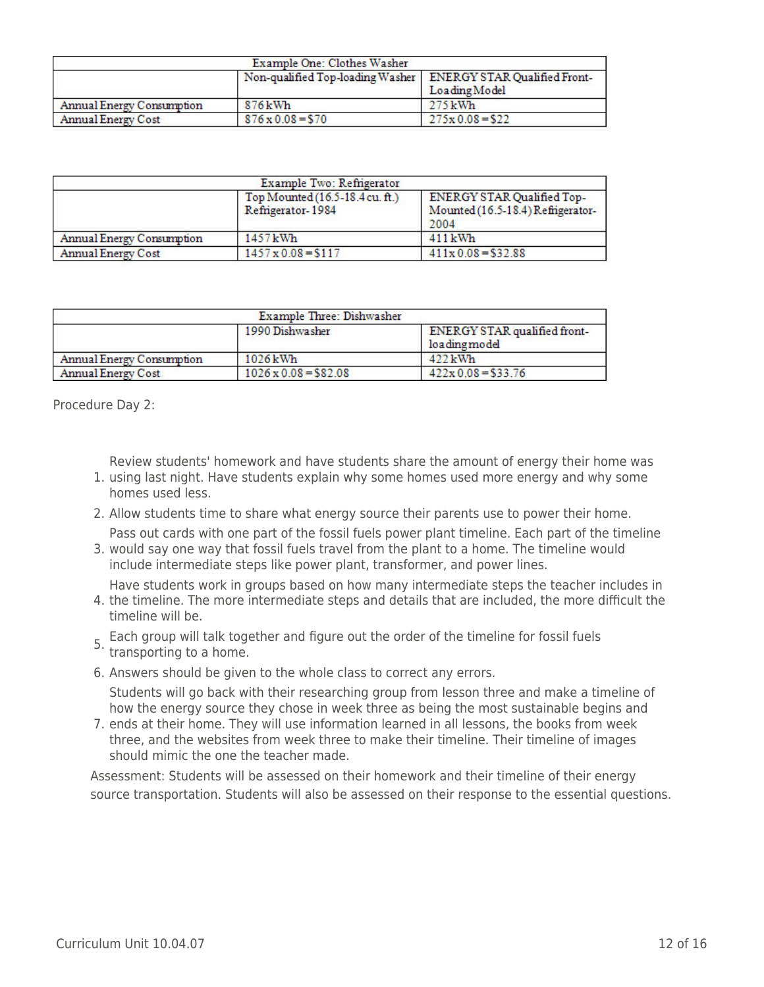| Example One: Clothes Washer      |                                                                 |                  |  |  |  |
|----------------------------------|-----------------------------------------------------------------|------------------|--|--|--|
|                                  | Non-qualified Top-loading Washer   ENERGY STAR Qualified Front- |                  |  |  |  |
|                                  |                                                                 | Loading Model    |  |  |  |
| <b>Annual Energy Consumption</b> | 876 kWh                                                         | 275 kWh          |  |  |  |
| <b>Annual Energy Cost</b>        | $876 \times 0.08 = 570$                                         | $275x0.08 = $22$ |  |  |  |

| Example Two: Refrigerator |                                                      |                                                                                |  |  |  |
|---------------------------|------------------------------------------------------|--------------------------------------------------------------------------------|--|--|--|
|                           | Top Mounted (16.5-18.4 cu. ft.)<br>Refrigerator-1984 | <b>ENERGY STAR Qualified Top-</b><br>Mounted (16.5-18.4) Refrigerator-<br>2004 |  |  |  |
| Annual Energy Consumption | 1457 kWh                                             | 411kWh                                                                         |  |  |  |
| Annual Energy Cost        | $1457 \times 0.08 = $117$                            | $411x0.08 = $32.88$                                                            |  |  |  |

|                           | 1990 Dishwasher             | ENERGY STAR qualified front-<br>loading model |
|---------------------------|-----------------------------|-----------------------------------------------|
| Annual Energy Consumption | $1026 \mathrm{kWh}$         | $422 \text{ kWh}$                             |
| <b>Annual Energy Cost</b> | $1026 \times 0.08 = $82.08$ | $422 \times 0.08 = $33.76$                    |

Procedure Day 2:

Review students' homework and have students share the amount of energy their home was

- 1. using last night. Have students explain why some homes used more energy and why some homes used less.
- 2. Allow students time to share what energy source their parents use to power their home.
- 3. would say one way that fossil fuels travel from the plant to a home. The timeline would Pass out cards with one part of the fossil fuels power plant timeline. Each part of the timeline include intermediate steps like power plant, transformer, and power lines.

Have students work in groups based on how many intermediate steps the teacher includes in

- 4. the timeline. The more intermediate steps and details that are included, the more difficult the timeline will be.
- 5. Each group will talk together and figure out the order of the timeline for fossil fuels transporting to a home.
- 6. Answers should be given to the whole class to correct any errors.

Students will go back with their researching group from lesson three and make a timeline of how the energy source they chose in week three as being the most sustainable begins and

7. ends at their home. They will use information learned in all lessons, the books from week three, and the websites from week three to make their timeline. Their timeline of images should mimic the one the teacher made.

Assessment: Students will be assessed on their homework and their timeline of their energy source transportation. Students will also be assessed on their response to the essential questions.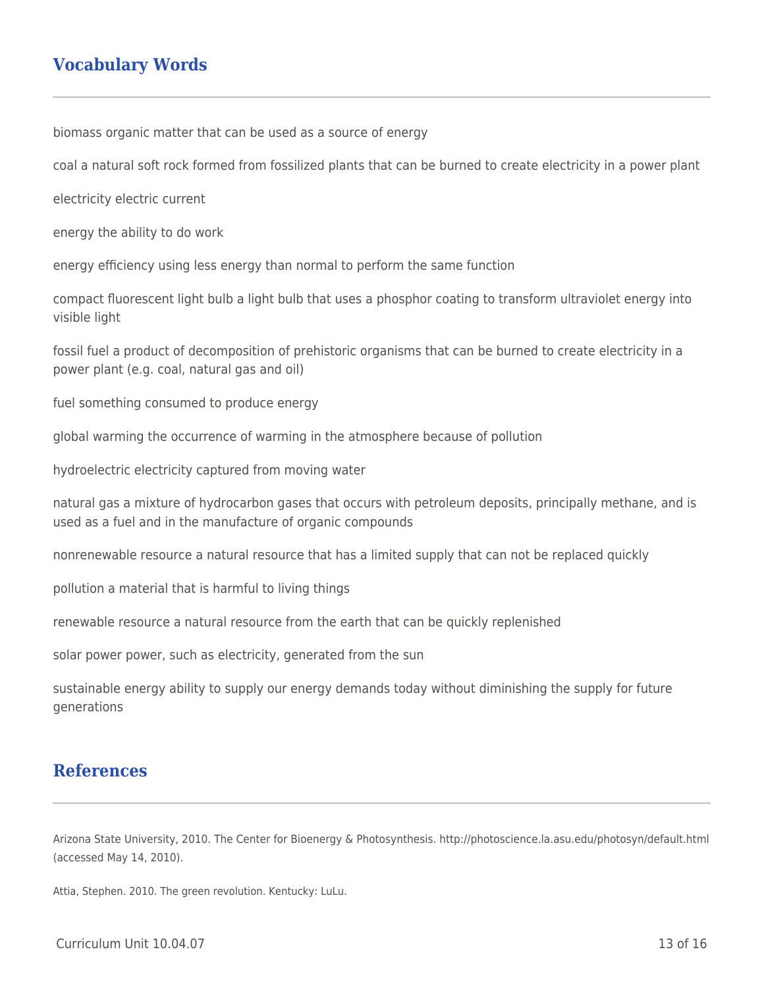# **Vocabulary Words**

biomass organic matter that can be used as a source of energy

coal a natural soft rock formed from fossilized plants that can be burned to create electricity in a power plant

electricity electric current

energy the ability to do work

energy efficiency using less energy than normal to perform the same function

compact fluorescent light bulb a light bulb that uses a phosphor coating to transform ultraviolet energy into visible light

fossil fuel a product of decomposition of prehistoric organisms that can be burned to create electricity in a power plant (e.g. coal, natural gas and oil)

fuel something consumed to produce energy

global warming the occurrence of warming in the atmosphere because of pollution

hydroelectric electricity captured from moving water

natural gas a mixture of hydrocarbon gases that occurs with petroleum deposits, principally methane, and is used as a fuel and in the manufacture of organic compounds

nonrenewable resource a natural resource that has a limited supply that can not be replaced quickly

pollution a material that is harmful to living things

renewable resource a natural resource from the earth that can be quickly replenished

solar power power, such as electricity, generated from the sun

sustainable energy ability to supply our energy demands today without diminishing the supply for future generations

## **References**

Arizona State University, 2010. The Center for Bioenergy & Photosynthesis. http://photoscience.la.asu.edu/photosyn/default.html (accessed May 14, 2010).

Attia, Stephen. 2010. The green revolution. Kentucky: LuLu.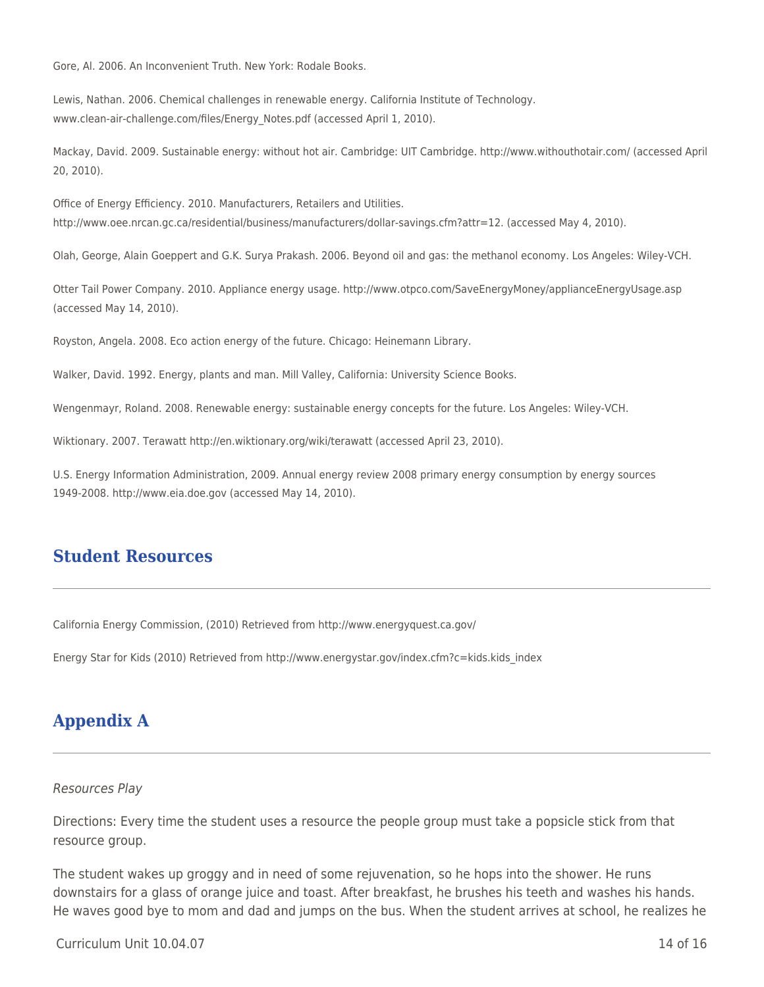Gore, Al. 2006. An Inconvenient Truth. New York: Rodale Books.

Lewis, Nathan. 2006. Chemical challenges in renewable energy. California Institute of Technology. www.clean-air-challenge.com/files/Energy\_Notes.pdf (accessed April 1, 2010).

Mackay, David. 2009. Sustainable energy: without hot air. Cambridge: UIT Cambridge. http://www.withouthotair.com/ (accessed April 20, 2010).

Office of Energy Efficiency. 2010. Manufacturers, Retailers and Utilities. http://www.oee.nrcan.gc.ca/residential/business/manufacturers/dollar-savings.cfm?attr=12. (accessed May 4, 2010).

Olah, George, Alain Goeppert and G.K. Surya Prakash. 2006. Beyond oil and gas: the methanol economy. Los Angeles: Wiley-VCH.

Otter Tail Power Company. 2010. Appliance energy usage. http://www.otpco.com/SaveEnergyMoney/applianceEnergyUsage.asp (accessed May 14, 2010).

Royston, Angela. 2008. Eco action energy of the future. Chicago: Heinemann Library.

Walker, David. 1992. Energy, plants and man. Mill Valley, California: University Science Books.

Wengenmayr, Roland. 2008. Renewable energy: sustainable energy concepts for the future. Los Angeles: Wiley-VCH.

Wiktionary. 2007. Terawatt http://en.wiktionary.org/wiki/terawatt (accessed April 23, 2010).

U.S. Energy Information Administration, 2009. Annual energy review 2008 primary energy consumption by energy sources 1949-2008. http://www.eia.doe.gov (accessed May 14, 2010).

## **Student Resources**

California Energy Commission, (2010) Retrieved from http://www.energyquest.ca.gov/

Energy Star for Kids (2010) Retrieved from http://www.energystar.gov/index.cfm?c=kids.kids\_index

# **Appendix A**

#### Resources Play

Directions: Every time the student uses a resource the people group must take a popsicle stick from that resource group.

The student wakes up groggy and in need of some rejuvenation, so he hops into the shower. He runs downstairs for a glass of orange juice and toast. After breakfast, he brushes his teeth and washes his hands. He waves good bye to mom and dad and jumps on the bus. When the student arrives at school, he realizes he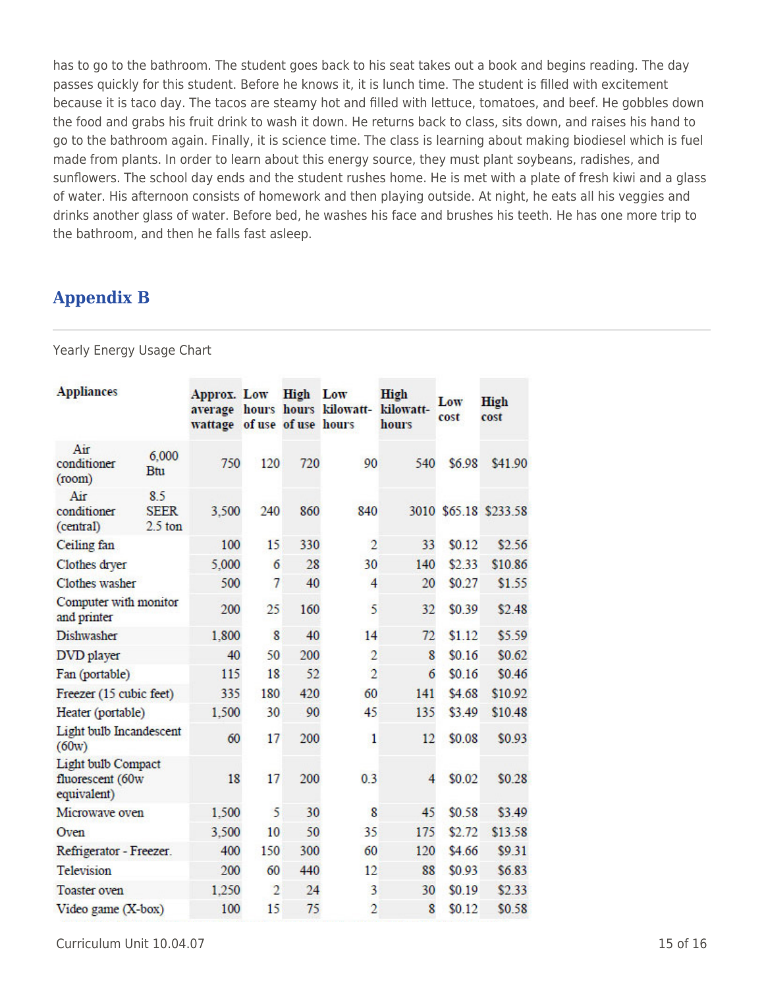has to go to the bathroom. The student goes back to his seat takes out a book and begins reading. The day passes quickly for this student. Before he knows it, it is lunch time. The student is filled with excitement because it is taco day. The tacos are steamy hot and filled with lettuce, tomatoes, and beef. He gobbles down the food and grabs his fruit drink to wash it down. He returns back to class, sits down, and raises his hand to go to the bathroom again. Finally, it is science time. The class is learning about making biodiesel which is fuel made from plants. In order to learn about this energy source, they must plant soybeans, radishes, and sunflowers. The school day ends and the student rushes home. He is met with a plate of fresh kiwi and a glass of water. His afternoon consists of homework and then playing outside. At night, he eats all his veggies and drinks another glass of water. Before bed, he washes his face and brushes his teeth. He has one more trip to the bathroom, and then he falls fast asleep.

## **Appendix B**

Yearly Energy Usage Chart

| <b>Appliances</b>                                            |                                 | Approx. Low<br>wattage of use of use hours |                | <b>High</b> Low | average hours hours kilowatt- | High<br>kilowatt-<br>hours | Low<br>cost | High<br>cost          |
|--------------------------------------------------------------|---------------------------------|--------------------------------------------|----------------|-----------------|-------------------------------|----------------------------|-------------|-----------------------|
| Air<br>conditioner<br>(room)                                 | 6,000<br>Btu                    | 750                                        | 120            | 720             | 90                            | 540                        | \$6.98      | \$41.90               |
| Air<br>conditioner<br>(central)                              | 8.5<br><b>SEER</b><br>$2.5$ ton | 3,500                                      | 240            | 860             | 840                           |                            |             | 3010 \$65.18 \$233.58 |
| Ceiling fan                                                  |                                 | 100                                        | 15             | 330             | $\overline{2}$                | 33                         | \$0.12      | \$2.56                |
| Clothes dryer                                                |                                 | 5,000                                      | 6              | 28              | 30                            | 140                        | \$2.33      | \$10.86               |
| Clothes washer                                               |                                 | 500                                        | 7              | 40              | 4                             | 20                         | \$0.27      | \$1.55                |
| Computer with monitor<br>and printer                         |                                 | 200                                        | 25             | 160             | 5                             | 32                         | \$0.39      | \$2.48                |
| Dishwasher                                                   |                                 | 1,800                                      | 8              | 40              | 14                            | 72                         | \$1.12      | \$5.59                |
| DVD player                                                   |                                 | 40                                         | 50             | 200             | $\overline{2}$                | 8                          | \$0.16      | \$0.62                |
| Fan (portable)                                               |                                 | 115                                        | 18             | 52              | $\overline{2}$                | 6                          | \$0.16      | \$0.46                |
| Freezer (15 cubic feet)                                      |                                 | 335                                        | 180            | 420             | 60                            | 141                        | \$4.68      | \$10.92               |
| Heater (portable)                                            |                                 | 1,500                                      | 30             | 90              | 45                            | 135                        | \$3.49      | \$10.48               |
| Light bulb Incandescent<br>(60w)                             |                                 | 60                                         | 17             | 200             | 1                             | 12                         | \$0.08      | \$0.93                |
| <b>Light bulb Compact</b><br>fluorescent (60w<br>equivalent) |                                 | 18                                         | 17             | 200             | 0.3                           | 4                          | \$0.02      | \$0.28                |
| Microwave oven                                               |                                 | 1,500                                      | 5              | 30              | 8                             | 45                         | \$0.58      | \$3.49                |
| Oven                                                         |                                 | 3,500                                      | 10             | 50              | 35                            | 175                        | \$2.72      | \$13.58               |
| Refrigerator - Freezer.                                      |                                 | 400                                        | 150            | 300             | 60                            | 120                        | \$4.66      | \$9.31                |
| Television                                                   |                                 | 200                                        | 60             | 440             | 12                            | 88                         | \$0.93      | \$6.83                |
| <b>Toaster oven</b>                                          |                                 | 1.250                                      | $\overline{2}$ | 24              | 3                             | 30                         | \$0.19      | \$2.33                |
| Video game (X-box)                                           |                                 | 100                                        | 15             | 75              | $\overline{2}$                | 8                          | \$0.12      | \$0.58                |